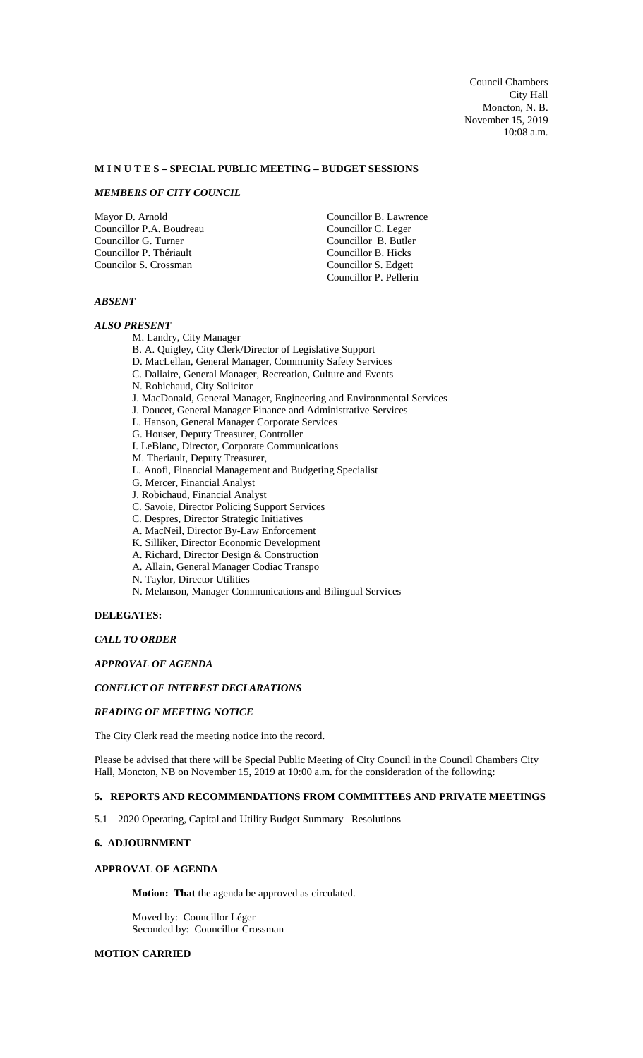#### **M I N U T E S – SPECIAL PUBLIC MEETING – BUDGET SESSIONS**

# *MEMBERS OF CITY COUNCIL*

Mayor D. Arnold Councillor P.A. Boudreau Councillor G. Turner Councillor P. Thériault Councilor S. Crossman

Councillor B. Lawrence Councillor C. Leger Councillor B. Butler Councillor B. Hicks Councillor S. Edgett Councillor P. Pellerin

# *ABSENT*

### *ALSO PRESENT*

M. Landry, City Manager

B. A. Quigley, City Clerk/Director of Legislative Support

- D. MacLellan, General Manager, Community Safety Services
- C. Dallaire, General Manager, Recreation, Culture and Events
- N. Robichaud, City Solicitor
- J. MacDonald, General Manager, Engineering and Environmental Services
- J. Doucet, General Manager Finance and Administrative Services
- L. Hanson, General Manager Corporate Services
- G. Houser, Deputy Treasurer, Controller
- I. LeBlanc, Director, Corporate Communications
- M. Theriault, Deputy Treasurer,
- L. Anofi, Financial Management and Budgeting Specialist
- G. Mercer, Financial Analyst
- J. Robichaud, Financial Analyst
- C. Savoie, Director Policing Support Services
- C. Despres, Director Strategic Initiatives
- A. MacNeil, Director By-Law Enforcement
- K. Silliker, Director Economic Development
- A. Richard, Director Design & Construction
- A. Allain, General Manager Codiac Transpo
- N. Taylor, Director Utilities
- N. Melanson, Manager Communications and Bilingual Services

#### **DELEGATES:**

### *CALL TO ORDER*

# *APPROVAL OF AGENDA*

# *CONFLICT OF INTEREST DECLARATIONS*

#### *READING OF MEETING NOTICE*

The City Clerk read the meeting notice into the record.

Please be advised that there will be Special Public Meeting of City Council in the Council Chambers City Hall, Moncton, NB on November 15, 2019 at 10:00 a.m. for the consideration of the following:

#### **5. REPORTS AND RECOMMENDATIONS FROM COMMITTEES AND PRIVATE MEETINGS**

5.1 2020 Operating, Capital and Utility Budget Summary –Resolutions

# **6. ADJOURNMENT**

# **APPROVAL OF AGENDA**

**Motion: That** the agenda be approved as circulated.

Moved by: Councillor Léger Seconded by: Councillor Crossman

# **MOTION CARRIED**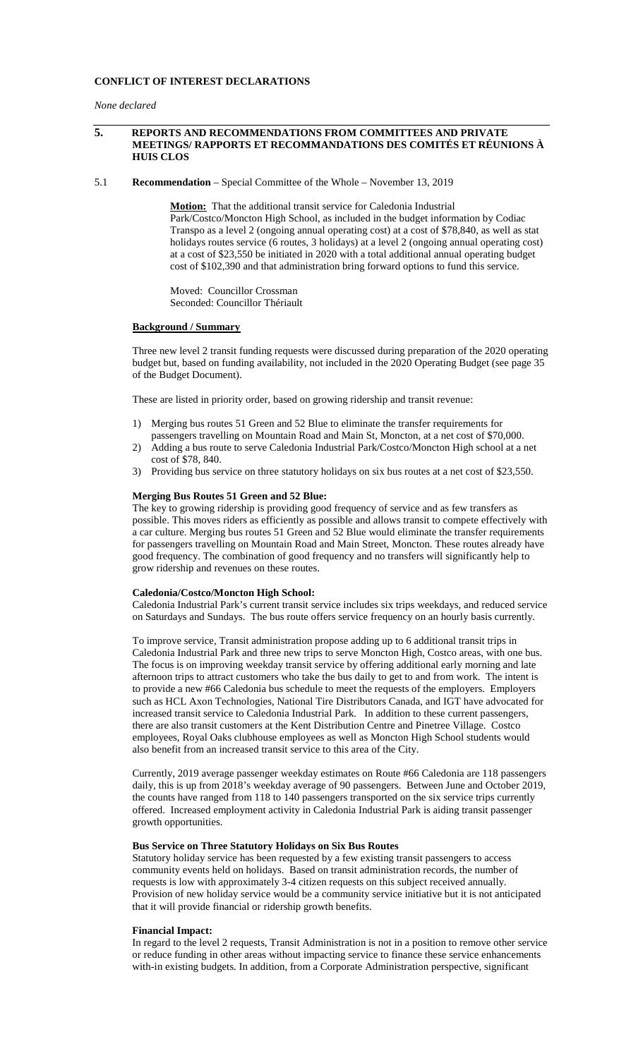## **CONFLICT OF INTEREST DECLARATIONS**

*None declared*

### **5. REPORTS AND RECOMMENDATIONS FROM COMMITTEES AND PRIVATE MEETINGS/ RAPPORTS ET RECOMMANDATIONS DES COMITÉS ET RÉUNIONS À HUIS CLOS**

5.1 **Recommendation** – Special Committee of the Whole – November 13, 2019

**Motion:** That the additional transit service for Caledonia Industrial Park/Costco/Moncton High School, as included in the budget information by Codiac Transpo as a level 2 (ongoing annual operating cost) at a cost of \$78,840, as well as stat holidays routes service (6 routes, 3 holidays) at a level 2 (ongoing annual operating cost) at a cost of \$23,550 be initiated in 2020 with a total additional annual operating budget cost of \$102,390 and that administration bring forward options to fund this service.

Moved: Councillor Crossman Seconded: Councillor Thériault

#### **Background / Summary**

Three new level 2 transit funding requests were discussed during preparation of the 2020 operating budget but, based on funding availability, not included in the 2020 Operating Budget (see page 35 of the Budget Document).

These are listed in priority order, based on growing ridership and transit revenue:

- 1) Merging bus routes 51 Green and 52 Blue to eliminate the transfer requirements for passengers travelling on Mountain Road and Main St, Moncton, at a net cost of \$70,000.
- 2) Adding a bus route to serve Caledonia Industrial Park/Costco/Moncton High school at a net cost of \$78, 840.
- 3) Providing bus service on three statutory holidays on six bus routes at a net cost of \$23,550.

#### **Merging Bus Routes 51 Green and 52 Blue:**

The key to growing ridership is providing good frequency of service and as few transfers as possible. This moves riders as efficiently as possible and allows transit to compete effectively with a car culture. Merging bus routes 51 Green and 52 Blue would eliminate the transfer requirements for passengers travelling on Mountain Road and Main Street, Moncton. These routes already have good frequency. The combination of good frequency and no transfers will significantly help to grow ridership and revenues on these routes.

## **Caledonia/Costco/Moncton High School:**

Caledonia Industrial Park's current transit service includes six trips weekdays, and reduced service on Saturdays and Sundays. The bus route offers service frequency on an hourly basis currently.

To improve service, Transit administration propose adding up to 6 additional transit trips in Caledonia Industrial Park and three new trips to serve Moncton High, Costco areas, with one bus. The focus is on improving weekday transit service by offering additional early morning and late afternoon trips to attract customers who take the bus daily to get to and from work. The intent is to provide a new #66 Caledonia bus schedule to meet the requests of the employers. Employers such as HCL Axon Technologies, National Tire Distributors Canada, and IGT have advocated for increased transit service to Caledonia Industrial Park. In addition to these current passengers, there are also transit customers at the Kent Distribution Centre and Pinetree Village. Costco employees, Royal Oaks clubhouse employees as well as Moncton High School students would also benefit from an increased transit service to this area of the City.

Currently, 2019 average passenger weekday estimates on Route #66 Caledonia are 118 passengers daily, this is up from 2018's weekday average of 90 passengers. Between June and October 2019, the counts have ranged from 118 to 140 passengers transported on the six service trips currently offered. Increased employment activity in Caledonia Industrial Park is aiding transit passenger growth opportunities.

#### **Bus Service on Three Statutory Holidays on Six Bus Routes**

Statutory holiday service has been requested by a few existing transit passengers to access community events held on holidays. Based on transit administration records, the number of requests is low with approximately 3-4 citizen requests on this subject received annually. Provision of new holiday service would be a community service initiative but it is not anticipated that it will provide financial or ridership growth benefits.

#### **Financial Impact:**

In regard to the level 2 requests, Transit Administration is not in a position to remove other service or reduce funding in other areas without impacting service to finance these service enhancements with-in existing budgets. In addition, from a Corporate Administration perspective, significant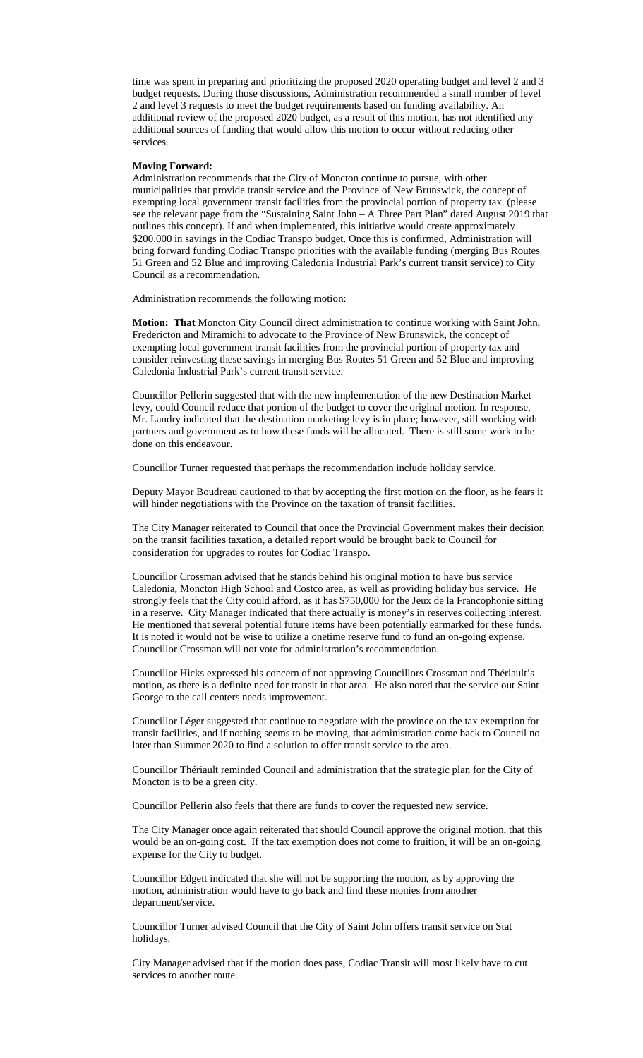time was spent in preparing and prioritizing the proposed 2020 operating budget and level 2 and 3 budget requests. During those discussions, Administration recommended a small number of level 2 and level 3 requests to meet the budget requirements based on funding availability. An additional review of the proposed 2020 budget, as a result of this motion, has not identified any additional sources of funding that would allow this motion to occur without reducing other services.

#### **Moving Forward:**

Administration recommends that the City of Moncton continue to pursue, with other municipalities that provide transit service and the Province of New Brunswick, the concept of exempting local government transit facilities from the provincial portion of property tax. (please see the relevant page from the "Sustaining Saint John – A Three Part Plan" dated August 2019 that outlines this concept). If and when implemented, this initiative would create approximately \$200,000 in savings in the Codiac Transpo budget. Once this is confirmed, Administration will bring forward funding Codiac Transpo priorities with the available funding (merging Bus Routes 51 Green and 52 Blue and improving Caledonia Industrial Park's current transit service) to City Council as a recommendation.

Administration recommends the following motion:

**Motion: That** Moncton City Council direct administration to continue working with Saint John, Fredericton and Miramichi to advocate to the Province of New Brunswick, the concept of exempting local government transit facilities from the provincial portion of property tax and consider reinvesting these savings in merging Bus Routes 51 Green and 52 Blue and improving Caledonia Industrial Park's current transit service.

Councillor Pellerin suggested that with the new implementation of the new Destination Market levy, could Council reduce that portion of the budget to cover the original motion. In response, Mr. Landry indicated that the destination marketing levy is in place; however, still working with partners and government as to how these funds will be allocated. There is still some work to be done on this endeavour.

Councillor Turner requested that perhaps the recommendation include holiday service.

Deputy Mayor Boudreau cautioned to that by accepting the first motion on the floor, as he fears it will hinder negotiations with the Province on the taxation of transit facilities.

The City Manager reiterated to Council that once the Provincial Government makes their decision on the transit facilities taxation, a detailed report would be brought back to Council for consideration for upgrades to routes for Codiac Transpo.

Councillor Crossman advised that he stands behind his original motion to have bus service Caledonia, Moncton High School and Costco area, as well as providing holiday bus service. He strongly feels that the City could afford, as it has \$750,000 for the Jeux de la Francophonie sitting in a reserve. City Manager indicated that there actually is money's in reserves collecting interest. He mentioned that several potential future items have been potentially earmarked for these funds. It is noted it would not be wise to utilize a onetime reserve fund to fund an on-going expense. Councillor Crossman will not vote for administration's recommendation.

Councillor Hicks expressed his concern of not approving Councillors Crossman and Thériault's motion, as there is a definite need for transit in that area. He also noted that the service out Saint George to the call centers needs improvement.

Councillor Léger suggested that continue to negotiate with the province on the tax exemption for transit facilities, and if nothing seems to be moving, that administration come back to Council no later than Summer 2020 to find a solution to offer transit service to the area.

Councillor Thériault reminded Council and administration that the strategic plan for the City of Moncton is to be a green city.

Councillor Pellerin also feels that there are funds to cover the requested new service.

The City Manager once again reiterated that should Council approve the original motion, that this would be an on-going cost. If the tax exemption does not come to fruition, it will be an on-going expense for the City to budget.

Councillor Edgett indicated that she will not be supporting the motion, as by approving the motion, administration would have to go back and find these monies from another department/service.

Councillor Turner advised Council that the City of Saint John offers transit service on Stat holidays.

City Manager advised that if the motion does pass, Codiac Transit will most likely have to cut services to another route.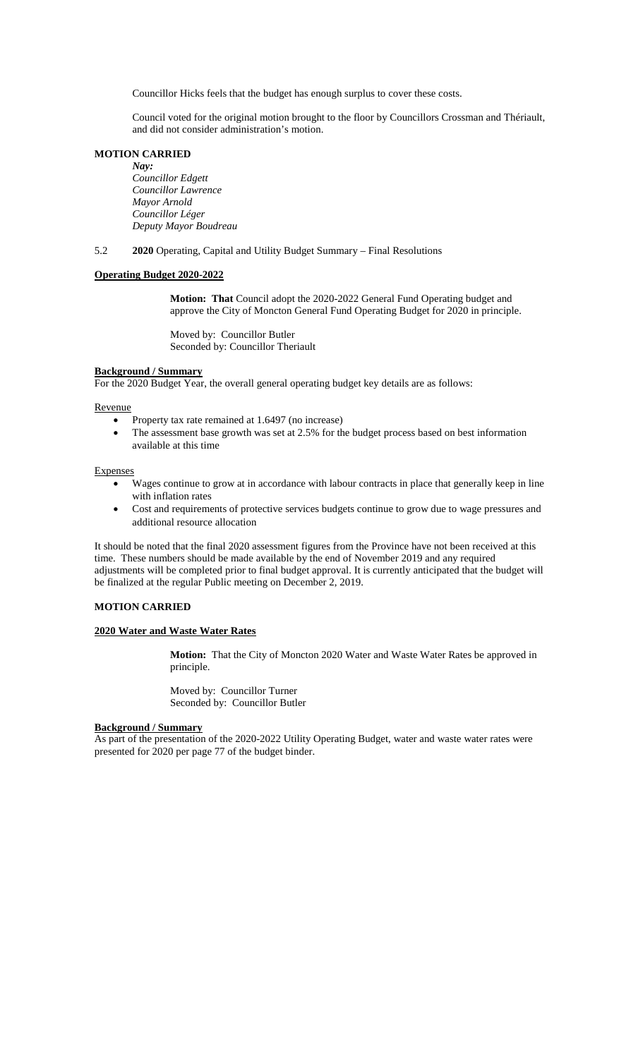Councillor Hicks feels that the budget has enough surplus to cover these costs.

Council voted for the original motion brought to the floor by Councillors Crossman and Thériault, and did not consider administration's motion.

## **MOTION CARRIED**

*Nay: Councillor Edgett Councillor Lawrence Mayor Arnold Councillor Léger Deputy Mayor Boudreau*

5.2 **2020** Operating, Capital and Utility Budget Summary – Final Resolutions

### **Operating Budget 2020-2022**

**Motion: That** Council adopt the 2020-2022 General Fund Operating budget and approve the City of Moncton General Fund Operating Budget for 2020 in principle.

Moved by: Councillor Butler Seconded by: Councillor Theriault

#### **Background / Summary**

For the 2020 Budget Year, the overall general operating budget key details are as follows:

Revenue

- Property tax rate remained at 1.6497 (no increase)
- The assessment base growth was set at 2.5% for the budget process based on best information available at this time

#### Expenses

- Wages continue to grow at in accordance with labour contracts in place that generally keep in line with inflation rates
- Cost and requirements of protective services budgets continue to grow due to wage pressures and additional resource allocation

It should be noted that the final 2020 assessment figures from the Province have not been received at this time. These numbers should be made available by the end of November 2019 and any required adjustments will be completed prior to final budget approval. It is currently anticipated that the budget will be finalized at the regular Public meeting on December 2, 2019.

# **MOTION CARRIED**

## **2020 Water and Waste Water Rates**

**Motion:** That the City of Moncton 2020 Water and Waste Water Rates be approved in principle.

Moved by: Councillor Turner Seconded by: Councillor Butler

#### **Background / Summary**

As part of the presentation of the 2020-2022 Utility Operating Budget, water and waste water rates were presented for 2020 per page 77 of the budget binder.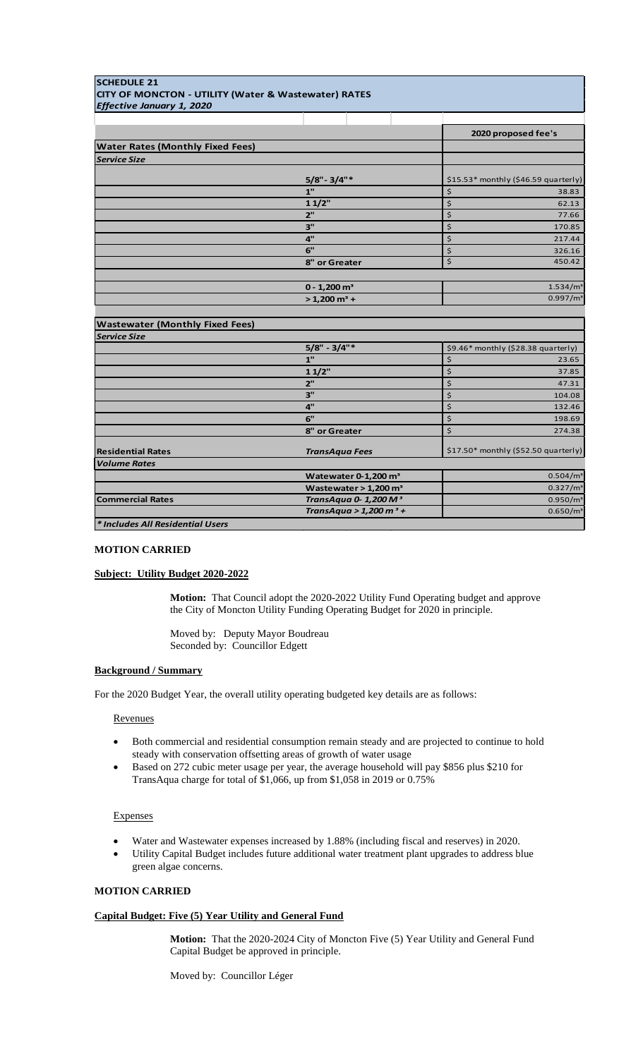| <b>SCHEDULE 21</b>                                              |                                     |                                      |  |
|-----------------------------------------------------------------|-------------------------------------|--------------------------------------|--|
| <b>CITY OF MONCTON - UTILITY (Water &amp; Wastewater) RATES</b> |                                     |                                      |  |
| Effective January 1, 2020                                       |                                     |                                      |  |
|                                                                 |                                     |                                      |  |
|                                                                 |                                     | 2020 proposed fee's                  |  |
| <b>Water Rates (Monthly Fixed Fees)</b>                         |                                     |                                      |  |
| <b>Service Size</b>                                             |                                     |                                      |  |
|                                                                 | $5/8"$ - 3/4"*                      | \$15.53* monthly (\$46.59 quarterly) |  |
|                                                                 | 1"                                  | \$<br>38.83                          |  |
|                                                                 | 11/2"                               | \$<br>62.13                          |  |
|                                                                 | 2"                                  | \$<br>77.66                          |  |
|                                                                 | 3"                                  | \$<br>170.85                         |  |
|                                                                 | 4"                                  | \$<br>217.44                         |  |
|                                                                 | 6"                                  | \$<br>326.16                         |  |
|                                                                 | 8" or Greater                       | \$<br>450.42                         |  |
|                                                                 |                                     |                                      |  |
|                                                                 | $0 - 1,200$ m <sup>3</sup>          | 1.534/m <sup>3</sup>                 |  |
|                                                                 | $> 1,200$ m <sup>3</sup> +          | 0.997/m <sup>3</sup>                 |  |
|                                                                 |                                     |                                      |  |
| <b>Wastewater (Monthly Fixed Fees)</b>                          |                                     |                                      |  |
| <b>Service Size</b>                                             |                                     |                                      |  |
|                                                                 | $5/8" - 3/4"$                       | \$9.46* monthly (\$28.38 quarterly)  |  |
|                                                                 | 1"                                  | \$<br>23.65                          |  |
|                                                                 | 11/2"                               | \$<br>37.85                          |  |
|                                                                 | 2"                                  | \$<br>47.31                          |  |
|                                                                 | 3"                                  | \$<br>104.08                         |  |
|                                                                 | 4"                                  | \$<br>132.46                         |  |
|                                                                 | 6"                                  | \$<br>198.69                         |  |
|                                                                 | 8" or Greater                       | \$<br>274.38                         |  |
| <b>Residential Rates</b>                                        | <b>TransAqua Fees</b>               | \$17.50* monthly (\$52.50 quarterly) |  |
| <b>Volume Rates</b>                                             |                                     |                                      |  |
|                                                                 | Watewater $0-1,200$ m <sup>3</sup>  | 0.504/m <sup>3</sup>                 |  |
|                                                                 | Wastewater $> 1,200$ m <sup>3</sup> | 0.327/m <sup>3</sup>                 |  |
| <b>Commercial Rates</b>                                         | TransAqua 0-1,200 M <sup>3</sup>    | 0.950/m <sup>3</sup>                 |  |
|                                                                 | TransAqua > 1,200 m <sup>3</sup> +  | $0.650/m^3$                          |  |
| * Includes All Residential Users                                |                                     |                                      |  |

# **MOTION CARRIED**

### **Subject: Utility Budget 2020-2022**

**Motion:** That Council adopt the 2020-2022 Utility Fund Operating budget and approve the City of Moncton Utility Funding Operating Budget for 2020 in principle.

Moved by: Deputy Mayor Boudreau Seconded by: Councillor Edgett

### **Background / Summary**

For the 2020 Budget Year, the overall utility operating budgeted key details are as follows:

#### Revenues

- Both commercial and residential consumption remain steady and are projected to continue to hold steady with conservation offsetting areas of growth of water usage
- Based on 272 cubic meter usage per year, the average household will pay \$856 plus \$210 for TransAqua charge for total of \$1,066, up from \$1,058 in 2019 or 0.75%

#### Expenses

- Water and Wastewater expenses increased by 1.88% (including fiscal and reserves) in 2020.
- Utility Capital Budget includes future additional water treatment plant upgrades to address blue green algae concerns.

# **MOTION CARRIED**

## **Capital Budget: Five (5) Year Utility and General Fund**

**Motion:** That the 2020-2024 City of Moncton Five (5) Year Utility and General Fund Capital Budget be approved in principle.

Moved by: Councillor Léger